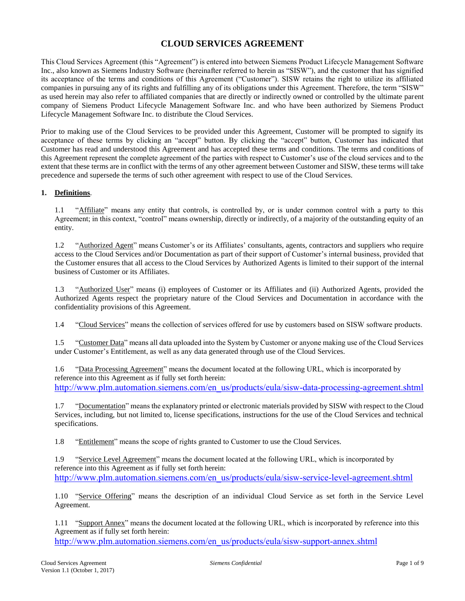# **CLOUD SERVICES AGREEMENT**

This Cloud Services Agreement (this "Agreement") is entered into between Siemens Product Lifecycle Management Software Inc., also known as Siemens Industry Software (hereinafter referred to herein as "SISW"), and the customer that has signified its acceptance of the terms and conditions of this Agreement ("Customer"). SISW retains the right to utilize its affiliated companies in pursuing any of its rights and fulfilling any of its obligations under this Agreement. Therefore, the term "SISW" as used herein may also refer to affiliated companies that are directly or indirectly owned or controlled by the ultimate parent company of Siemens Product Lifecycle Management Software Inc. and who have been authorized by Siemens Product Lifecycle Management Software Inc. to distribute the Cloud Services.

Prior to making use of the Cloud Services to be provided under this Agreement, Customer will be prompted to signify its acceptance of these terms by clicking an "accept" button. By clicking the "accept" button, Customer has indicated that Customer has read and understood this Agreement and has accepted these terms and conditions. The terms and conditions of this Agreement represent the complete agreement of the parties with respect to Customer's use of the cloud services and to the extent that these terms are in conflict with the terms of any other agreement between Customer and SISW, these terms will take precedence and supersede the terms of such other agreement with respect to use of the Cloud Services.

#### **1. Definitions**.

1.1 "Affiliate" means any entity that controls, is controlled by, or is under common control with a party to this Agreement; in this context, "control" means ownership, directly or indirectly, of a majority of the outstanding equity of an entity.

1.2 "Authorized Agent" means Customer's or its Affiliates' consultants, agents, contractors and suppliers who require access to the Cloud Services and/or Documentation as part of their support of Customer's internal business, provided that the Customer ensures that all access to the Cloud Services by Authorized Agents is limited to their support of the internal business of Customer or its Affiliates.

1.3 "Authorized User" means (i) employees of Customer or its Affiliates and (ii) Authorized Agents, provided the Authorized Agents respect the proprietary nature of the Cloud Services and Documentation in accordance with the confidentiality provisions of this Agreement.

1.4 "Cloud Services" means the collection of services offered for use by customers based on SISW software products.

1.5 "Customer Data" means all data uploaded into the System by Customer or anyone making use of the Cloud Services under Customer's Entitlement, as well as any data generated through use of the Cloud Services.

1.6 "Data Processing Agreement" means the document located at the following URL, which is incorporated by reference into this Agreement as if fully set forth herein: [http://www.plm.automation.siemens.com/en\\_us/products/eula/sisw-data-processing-agreement.shtml](http://www.plm.automation.siemens.com/en_us/products/eula/sisw-data-processing-agreement.shtml)

1.7 "Documentation" means the explanatory printed or electronic materials provided by SISW with respect to the Cloud Services, including, but not limited to, license specifications, instructions for the use of the Cloud Services and technical specifications.

1.8 "Entitlement" means the scope of rights granted to Customer to use the Cloud Services.

1.9 "Service Level Agreement" means the document located at the following URL, which is incorporated by reference into this Agreement as if fully set forth herein: [http://www.plm.automation.siemens.com/en\\_us/products/eula/sisw-service-level-agreement.shtml](http://www.plm.automation.siemens.com/en_us/products/eula/sisw-service-level-agreement.shtml)

1.10 "Service Offering" means the description of an individual Cloud Service as set forth in the Service Level Agreement.

1.11 "Support Annex" means the document located at the following URL, which is incorporated by reference into this Agreement as if fully set forth herein:

[http://www.plm.automation.siemens.com/en\\_us/products/eula/sisw-support-annex.shtml](http://www.plm.automation.siemens.com/en_us/products/eula/sisw-support-annex.shtml)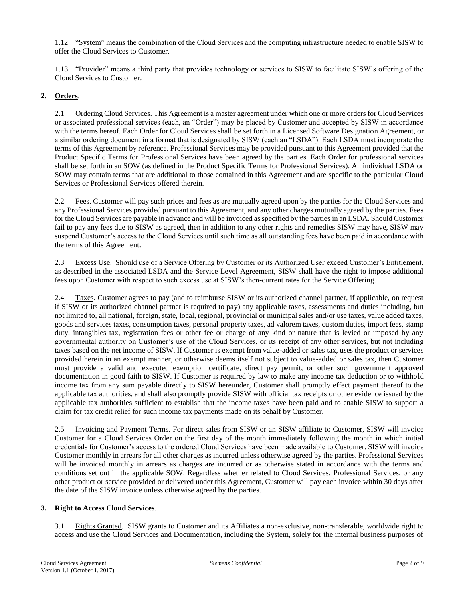1.12 "System" means the combination of the Cloud Services and the computing infrastructure needed to enable SISW to offer the Cloud Services to Customer.

1.13 "Provider" means a third party that provides technology or services to SISW to facilitate SISW's offering of the Cloud Services to Customer.

# **2. Orders**.

2.1 Ordering Cloud Services. This Agreement is a master agreement under which one or more orders for Cloud Services or associated professional services (each, an "Order") may be placed by Customer and accepted by SISW in accordance with the terms hereof. Each Order for Cloud Services shall be set forth in a Licensed Software Designation Agreement, or a similar ordering document in a format that is designated by SISW (each an "LSDA"). Each LSDA must incorporate the terms of this Agreement by reference. Professional Services may be provided pursuant to this Agreement provided that the Product Specific Terms for Professional Services have been agreed by the parties. Each Order for professional services shall be set forth in an SOW (as defined in the Product Specific Terms for Professional Services). An individual LSDA or SOW may contain terms that are additional to those contained in this Agreement and are specific to the particular Cloud Services or Professional Services offered therein.

2.2 Fees. Customer will pay such prices and fees as are mutually agreed upon by the parties for the Cloud Services and any Professional Services provided pursuant to this Agreement, and any other charges mutually agreed by the parties. Fees for the Cloud Services are payable in advance and will be invoiced as specified by the parties in an LSDA. Should Customer fail to pay any fees due to SISW as agreed, then in addition to any other rights and remedies SISW may have, SISW may suspend Customer's access to the Cloud Services until such time as all outstanding fees have been paid in accordance with the terms of this Agreement.

2.3 Excess Use. Should use of a Service Offering by Customer or its Authorized User exceed Customer's Entitlement, as described in the associated LSDA and the Service Level Agreement, SISW shall have the right to impose additional fees upon Customer with respect to such excess use at SISW's then-current rates for the Service Offering.

2.4 Taxes. Customer agrees to pay (and to reimburse SISW or its authorized channel partner, if applicable, on request if SISW or its authorized channel partner is required to pay) any applicable taxes, assessments and duties including, but not limited to, all national, foreign, state, local, regional, provincial or municipal sales and/or use taxes, value added taxes, goods and services taxes, consumption taxes, personal property taxes, ad valorem taxes, custom duties, import fees, stamp duty, intangibles tax, registration fees or other fee or charge of any kind or nature that is levied or imposed by any governmental authority on Customer's use of the Cloud Services, or its receipt of any other services, but not including taxes based on the net income of SISW. If Customer is exempt from value-added or sales tax, uses the product or services provided herein in an exempt manner, or otherwise deems itself not subject to value-added or sales tax, then Customer must provide a valid and executed exemption certificate, direct pay permit, or other such government approved documentation in good faith to SISW. If Customer is required by law to make any income tax deduction or to withhold income tax from any sum payable directly to SISW hereunder, Customer shall promptly effect payment thereof to the applicable tax authorities, and shall also promptly provide SISW with official tax receipts or other evidence issued by the applicable tax authorities sufficient to establish that the income taxes have been paid and to enable SISW to support a claim for tax credit relief for such income tax payments made on its behalf by Customer.

2.5 Invoicing and Payment Terms. For direct sales from SISW or an SISW affiliate to Customer, SISW will invoice Customer for a Cloud Services Order on the first day of the month immediately following the month in which initial credentials for Customer's access to the ordered Cloud Services have been made available to Customer. SISW will invoice Customer monthly in arrears for all other charges as incurred unless otherwise agreed by the parties. Professional Services will be invoiced monthly in arrears as charges are incurred or as otherwise stated in accordance with the terms and conditions set out in the applicable SOW. Regardless whether related to Cloud Services, Professional Services, or any other product or service provided or delivered under this Agreement, Customer will pay each invoice within 30 days after the date of the SISW invoice unless otherwise agreed by the parties.

#### **3. Right to Access Cloud Services**.

3.1 Rights Granted. SISW grants to Customer and its Affiliates a non-exclusive, non-transferable, worldwide right to access and use the Cloud Services and Documentation, including the System, solely for the internal business purposes of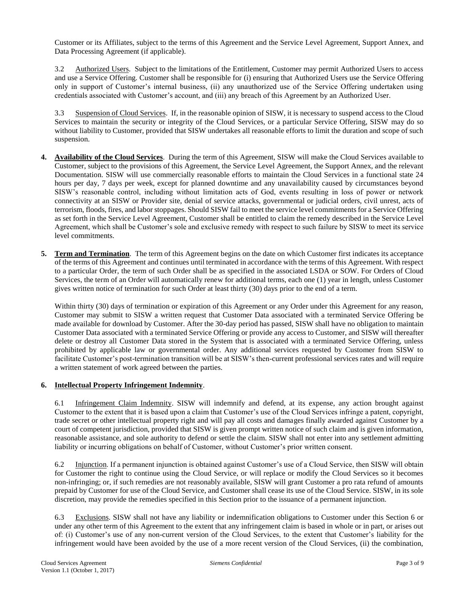Customer or its Affiliates, subject to the terms of this Agreement and the Service Level Agreement, Support Annex, and Data Processing Agreement (if applicable).

3.2 Authorized Users. Subject to the limitations of the Entitlement, Customer may permit Authorized Users to access and use a Service Offering. Customer shall be responsible for (i) ensuring that Authorized Users use the Service Offering only in support of Customer's internal business, (ii) any unauthorized use of the Service Offering undertaken using credentials associated with Customer's account, and (iii) any breach of this Agreement by an Authorized User.

3.3 Suspension of Cloud Services. If, in the reasonable opinion of SISW, it is necessary to suspend access to the Cloud Services to maintain the security or integrity of the Cloud Services, or a particular Service Offering, SISW may do so without liability to Customer, provided that SISW undertakes all reasonable efforts to limit the duration and scope of such suspension.

- **4. Availability of the Cloud Services**. During the term of this Agreement, SISW will make the Cloud Services available to Customer, subject to the provisions of this Agreement, the Service Level Agreement, the Support Annex, and the relevant Documentation. SISW will use commercially reasonable efforts to maintain the Cloud Services in a functional state 24 hours per day, 7 days per week, except for planned downtime and any unavailability caused by circumstances beyond SISW's reasonable control, including without limitation acts of God, events resulting in loss of power or network connectivity at an SISW or Provider site, denial of service attacks, governmental or judicial orders, civil unrest, acts of terrorism, floods, fires, and labor stoppages. Should SISW fail to meet the service level commitments for a Service Offering as set forth in the Service Level Agreement, Customer shall be entitled to claim the remedy described in the Service Level Agreement, which shall be Customer's sole and exclusive remedy with respect to such failure by SISW to meet its service level commitments.
- **5. Term and Termination**. The term of this Agreement begins on the date on which Customer first indicates its acceptance of the terms of this Agreement and continues until terminated in accordance with the terms of this Agreement. With respect to a particular Order, the term of such Order shall be as specified in the associated LSDA or SOW. For Orders of Cloud Services, the term of an Order will automatically renew for additional terms, each one (1) year in length, unless Customer gives written notice of termination for such Order at least thirty (30) days prior to the end of a term.

Within thirty (30) days of termination or expiration of this Agreement or any Order under this Agreement for any reason, Customer may submit to SISW a written request that Customer Data associated with a terminated Service Offering be made available for download by Customer. After the 30-day period has passed, SISW shall have no obligation to maintain Customer Data associated with a terminated Service Offering or provide any access to Customer, and SISW will thereafter delete or destroy all Customer Data stored in the System that is associated with a terminated Service Offering, unless prohibited by applicable law or governmental order. Any additional services requested by Customer from SISW to facilitate Customer's post-termination transition will be at SISW's then-current professional services rates and will require a written statement of work agreed between the parties.

#### **6. Intellectual Property Infringement Indemnity**.

6.1 Infringement Claim Indemnity. SISW will indemnify and defend, at its expense, any action brought against Customer to the extent that it is based upon a claim that Customer's use of the Cloud Services infringe a patent, copyright, trade secret or other intellectual property right and will pay all costs and damages finally awarded against Customer by a court of competent jurisdiction, provided that SISW is given prompt written notice of such claim and is given information, reasonable assistance, and sole authority to defend or settle the claim. SISW shall not enter into any settlement admitting liability or incurring obligations on behalf of Customer, without Customer's prior written consent.

6.2 Injunction. If a permanent injunction is obtained against Customer's use of a Cloud Service, then SISW will obtain for Customer the right to continue using the Cloud Service, or will replace or modify the Cloud Services so it becomes non-infringing; or, if such remedies are not reasonably available, SISW will grant Customer a pro rata refund of amounts prepaid by Customer for use of the Cloud Service, and Customer shall cease its use of the Cloud Service. SISW, in its sole discretion, may provide the remedies specified in this Section prior to the issuance of a permanent injunction.

6.3 Exclusions. SISW shall not have any liability or indemnification obligations to Customer under this Section 6 or under any other term of this Agreement to the extent that any infringement claim is based in whole or in part, or arises out of: (i) Customer's use of any non-current version of the Cloud Services, to the extent that Customer's liability for the infringement would have been avoided by the use of a more recent version of the Cloud Services, (ii) the combination,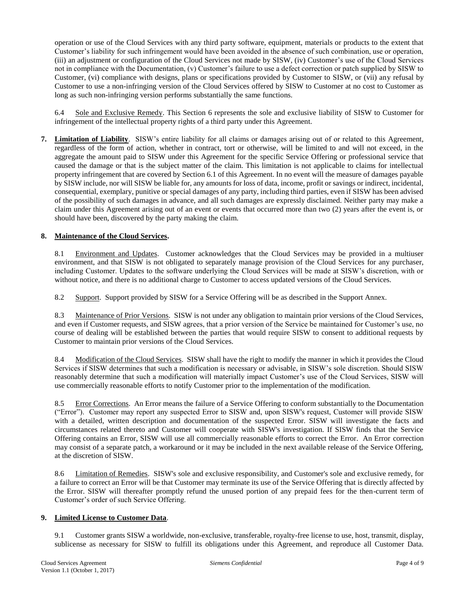operation or use of the Cloud Services with any third party software, equipment, materials or products to the extent that Customer's liability for such infringement would have been avoided in the absence of such combination, use or operation, (iii) an adjustment or configuration of the Cloud Services not made by SISW, (iv) Customer's use of the Cloud Services not in compliance with the Documentation, (v) Customer's failure to use a defect correction or patch supplied by SISW to Customer, (vi) compliance with designs, plans or specifications provided by Customer to SISW, or (vii) any refusal by Customer to use a non-infringing version of the Cloud Services offered by SISW to Customer at no cost to Customer as long as such non-infringing version performs substantially the same functions.

6.4 Sole and Exclusive Remedy. This Section 6 represents the sole and exclusive liability of SISW to Customer for infringement of the intellectual property rights of a third party under this Agreement.

**7. Limitation of Liability**. SISW's entire liability for all claims or damages arising out of or related to this Agreement, regardless of the form of action, whether in contract, tort or otherwise, will be limited to and will not exceed, in the aggregate the amount paid to SISW under this Agreement for the specific Service Offering or professional service that caused the damage or that is the subject matter of the claim. This limitation is not applicable to claims for intellectual property infringement that are covered by Section 6.1 of this Agreement. In no event will the measure of damages payable by SISW include, nor will SISW be liable for, any amounts for loss of data, income, profit or savings or indirect, incidental, consequential, exemplary, punitive or special damages of any party, including third parties, even if SISW has been advised of the possibility of such damages in advance, and all such damages are expressly disclaimed. Neither party may make a claim under this Agreement arising out of an event or events that occurred more than two (2) years after the event is, or should have been, discovered by the party making the claim.

# **8. Maintenance of the Cloud Services.**

8.1 Environment and Updates. Customer acknowledges that the Cloud Services may be provided in a multiuser environment, and that SISW is not obligated to separately manage provision of the Cloud Services for any purchaser, including Customer. Updates to the software underlying the Cloud Services will be made at SISW's discretion, with or without notice, and there is no additional charge to Customer to access updated versions of the Cloud Services.

8.2 Support. Support provided by SISW for a Service Offering will be as described in the Support Annex.

8.3 Maintenance of Prior Versions. SISW is not under any obligation to maintain prior versions of the Cloud Services, and even if Customer requests, and SISW agrees, that a prior version of the Service be maintained for Customer's use, no course of dealing will be established between the parties that would require SISW to consent to additional requests by Customer to maintain prior versions of the Cloud Services.

8.4 Modification of the Cloud Services. SISW shall have the right to modify the manner in which it provides the Cloud Services if SISW determines that such a modification is necessary or advisable, in SISW's sole discretion. Should SISW reasonably determine that such a modification will materially impact Customer's use of the Cloud Services, SISW will use commercially reasonable efforts to notify Customer prior to the implementation of the modification.

8.5 Error Corrections. An Error means the failure of a Service Offering to conform substantially to the Documentation ("Error"). Customer may report any suspected Error to SISW and, upon SISW's request, Customer will provide SISW with a detailed, written description and documentation of the suspected Error. SISW will investigate the facts and circumstances related thereto and Customer will cooperate with SISW's investigation. If SISW finds that the Service Offering contains an Error, SISW will use all commercially reasonable efforts to correct the Error. An Error correction may consist of a separate patch, a workaround or it may be included in the next available release of the Service Offering, at the discretion of SISW.

8.6 Limitation of Remedies. SISW's sole and exclusive responsibility, and Customer's sole and exclusive remedy, for a failure to correct an Error will be that Customer may terminate its use of the Service Offering that is directly affected by the Error. SISW will thereafter promptly refund the unused portion of any prepaid fees for the then-current term of Customer's order of such Service Offering.

## **9. Limited License to Customer Data**.

9.1 Customer grants SISW a worldwide, non-exclusive, transferable, royalty-free license to use, host, transmit, display, sublicense as necessary for SISW to fulfill its obligations under this Agreement, and reproduce all Customer Data.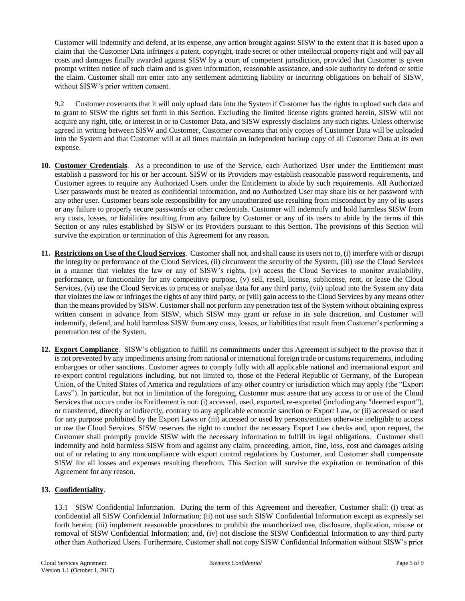Customer will indemnify and defend, at its expense, any action brought against SISW to the extent that it is based upon a claim that the Customer Data infringes a patent, copyright, trade secret or other intellectual property right and will pay all costs and damages finally awarded against SISW by a court of competent jurisdiction, provided that Customer is given prompt written notice of such claim and is given information, reasonable assistance, and sole authority to defend or settle the claim. Customer shall not enter into any settlement admitting liability or incurring obligations on behalf of SISW, without SISW's prior written consent.

9.2 Customer covenants that it will only upload data into the System if Customer has the rights to upload such data and to grant to SISW the rights set forth in this Section. Excluding the limited license rights granted herein, SISW will not acquire any right, title, or interest in or to Customer Data, and SISW expressly disclaims any such rights. Unless otherwise agreed in writing between SISW and Customer, Customer covenants that only copies of Customer Data will be uploaded into the System and that Customer will at all times maintain an independent backup copy of all Customer Data at its own expense.

- **10. Customer Credentials**. As a precondition to use of the Service, each Authorized User under the Entitlement must establish a password for his or her account. SISW or its Providers may establish reasonable password requirements, and Customer agrees to require any Authorized Users under the Entitlement to abide by such requirements. All Authorized User passwords must be treated as confidential information, and no Authorized User may share his or her password with any other user. Customer bears sole responsibility for any unauthorized use resulting from misconduct by any of its users or any failure to properly secure passwords or other credentials. Customer will indemnify and hold harmless SISW from any costs, losses, or liabilities resulting from any failure by Customer or any of its users to abide by the terms of this Section or any rules established by SISW or its Providers pursuant to this Section. The provisions of this Section will survive the expiration or termination of this Agreement for any reason.
- **11. Restrictions on Use of the Cloud Services**. Customer shall not, and shall cause its users not to, (i) interfere with or disrupt the integrity or performance of the Cloud Services, (ii) circumvent the security of the System, (iii) use the Cloud Services in a manner that violates the law or any of SISW's rights, (iv) access the Cloud Services to monitor availability, performance, or functionality for any competitive purpose, (v) sell, resell, license, sublicense, rent, or lease the Cloud Services, (vi) use the Cloud Services to process or analyze data for any third party, (vii) upload into the System any data that violates the law or infringes the rights of any third party, or (viii) gain access to the Cloud Services by any means other than the means provided by SISW. Customer shall not perform any penetration test of the System without obtaining express written consent in advance from SISW, which SISW may grant or refuse in its sole discretion, and Customer will indemnify, defend, and hold harmless SISW from any costs, losses, or liabilities that result from Customer's performing a penetration test of the System.
- **12. Export Compliance**. SISW's obligation to fulfill its commitments under this Agreement is subject to the proviso that it is not prevented by any impediments arising from national or international foreign trade or customs requirements, including embargoes or other sanctions. Customer agrees to comply fully with all applicable national and international export and re-export control regulations including, but not limited to, those of the Federal Republic of Germany, of the European Union, of the United States of America and regulations of any other country or jurisdiction which may apply (the "Export Laws"). In particular, but not in limitation of the foregoing, Customer must assure that any access to or use of the Cloud Services that occurs under its Entitlement is not: (i) accessed, used, exported, re-exported (including any "deemed export"), or transferred, directly or indirectly, contrary to any applicable economic sanction or Export Law, or (ii) accessed or used for any purpose prohibited by the Export Laws or (iii) accessed or used by persons/entities otherwise ineligible to access or use the Cloud Services. SISW reserves the right to conduct the necessary Export Law checks and, upon request, the Customer shall promptly provide SISW with the necessary information to fulfill its legal obligations. Customer shall indemnify and hold harmless SISW from and against any claim, proceeding, action, fine, loss, cost and damages arising out of or relating to any noncompliance with export control regulations by Customer, and Customer shall compensate SISW for all losses and expenses resulting therefrom. This Section will survive the expiration or termination of this Agreement for any reason.

# **13. Confidentiality**.

13.1 SISW Confidential Information. During the term of this Agreement and thereafter, Customer shall: (i) treat as confidential all SISW Confidential Information; (ii) not use such SISW Confidential Information except as expressly set forth herein; (iii) implement reasonable procedures to prohibit the unauthorized use, disclosure, duplication, misuse or removal of SISW Confidential Information; and, (iv) not disclose the SISW Confidential Information to any third party other than Authorized Users. Furthermore, Customer shall not copy SISW Confidential Information without SISW's prior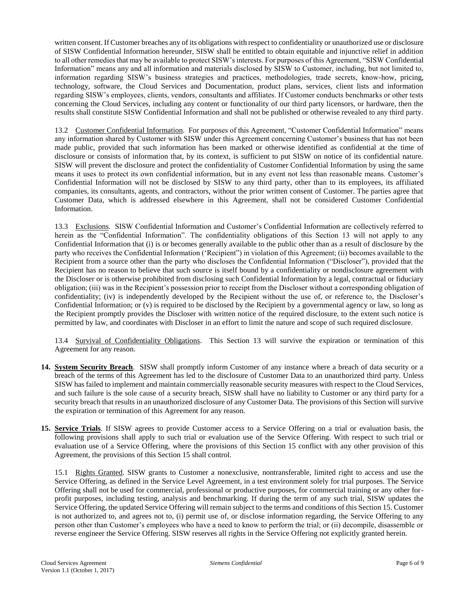written consent. If Customer breaches any of its obligations with respect to confidentiality or unauthorized use or disclosure of SISW Confidential Information hereunder, SISW shall be entitled to obtain equitable and injunctive relief in addition to all other remedies that may be available to protect SISW's interests. For purposes of this Agreement, "SISW Confidential Information" means any and all information and materials disclosed by SISW to Customer, including, but not limited to, information regarding SISW's business strategies and practices, methodologies, trade secrets, know-how, pricing, technology, software, the Cloud Services and Documentation, product plans, services, client lists and information regarding SISW's employees, clients, vendors, consultants and affiliates. If Customer conducts benchmarks or other tests concerning the Cloud Services, including any content or functionality of our third party licensors, or hardware, then the results shall constitute SISW Confidential Information and shall not be published or otherwise revealed to any third party.

13.2 Customer Confidential Information. For purposes of this Agreement, "Customer Confidential Information" means any information shared by Customer with SISW under this Agreement concerning Customer's business that has not been made public, provided that such information has been marked or otherwise identified as confidential at the time of disclosure or consists of information that, by its context, is sufficient to put SISW on notice of its confidential nature. SISW will prevent the disclosure and protect the confidentiality of Customer Confidential Information by using the same means it uses to protect its own confidential information, but in any event not less than reasonable means. Customer's Confidential Information will not be disclosed by SISW to any third party, other than to its employees, its affiliated companies, its consultants, agents, and contractors, without the prior written consent of Customer. The parties agree that Customer Data, which is addressed elsewhere in this Agreement, shall not be considered Customer Confidential Information.

13.3 Exclusions. SISW Confidential Information and Customer's Confidential Information are collectively referred to herein as the "Confidential Information". The confidentiality obligations of this Section 13 will not apply to any Confidential Information that (i) is or becomes generally available to the public other than as a result of disclosure by the party who receives the Confidential Information ('Recipient") in violation of this Agreement; (ii) becomes available to the Recipient from a source other than the party who discloses the Confidential Information ("Discloser"), provided that the Recipient has no reason to believe that such source is itself bound by a confidentiality or nondisclosure agreement with the Discloser or is otherwise prohibited from disclosing such Confidential Information by a legal, contractual or fiduciary obligation; (iii) was in the Recipient's possession prior to receipt from the Discloser without a corresponding obligation of confidentiality; (iv) is independently developed by the Recipient without the use of, or reference to, the Discloser's Confidential Information; or (v) is required to be disclosed by the Recipient by a governmental agency or law, so long as the Recipient promptly provides the Discloser with written notice of the required disclosure, to the extent such notice is permitted by law, and coordinates with Discloser in an effort to limit the nature and scope of such required disclosure.

13.4 Survival of Confidentiality Obligations. This Section 13 will survive the expiration or termination of this Agreement for any reason.

- **14. System Security Breach**. SISW shall promptly inform Customer of any instance where a breach of data security or a breach of the terms of this Agreement has led to the disclosure of Customer Data to an unauthorized third party. Unless SISW has failed to implement and maintain commercially reasonable security measures with respect to the Cloud Services, and such failure is the sole cause of a security breach, SISW shall have no liability to Customer or any third party for a security breach that results in an unauthorized disclosure of any Customer Data. The provisions of this Section will survive the expiration or termination of this Agreement for any reason.
- **15. Service Trials**. If SISW agrees to provide Customer access to a Service Offering on a trial or evaluation basis, the following provisions shall apply to such trial or evaluation use of the Service Offering. With respect to such trial or evaluation use of a Service Offering, where the provisions of this Section 15 conflict with any other provision of this Agreement, the provisions of this Section 15 shall control.

15.1 Rights Granted. SISW grants to Customer a nonexclusive, nontransferable, limited right to access and use the Service Offering, as defined in the Service Level Agreement, in a test environment solely for trial purposes. The Service Offering shall not be used for commercial, professional or productive purposes, for commercial training or any other forprofit purposes, including testing, analysis and benchmarking. If during the term of any such trial, SISW updates the Service Offering, the updated Service Offering will remain subject to the terms and conditions of this Section 15. Customer is not authorized to, and agrees not to, (i) permit use of, or disclose information regarding, the Service Offering to any person other than Customer's employees who have a need to know to perform the trial; or (ii) decompile, disassemble or reverse engineer the Service Offering. SISW reserves all rights in the Service Offering not explicitly granted herein.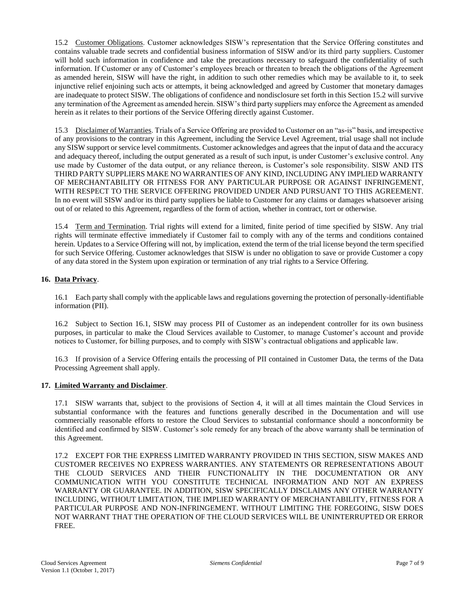15.2 Customer Obligations. Customer acknowledges SISW's representation that the Service Offering constitutes and contains valuable trade secrets and confidential business information of SISW and/or its third party suppliers. Customer will hold such information in confidence and take the precautions necessary to safeguard the confidentiality of such information. If Customer or any of Customer's employees breach or threaten to breach the obligations of the Agreement as amended herein, SISW will have the right, in addition to such other remedies which may be available to it, to seek injunctive relief enjoining such acts or attempts, it being acknowledged and agreed by Customer that monetary damages are inadequate to protect SISW. The obligations of confidence and nondisclosure set forth in this Section 15.2 will survive any termination of the Agreement as amended herein. SISW's third party suppliers may enforce the Agreement as amended herein as it relates to their portions of the Service Offering directly against Customer.

15.3 Disclaimer of Warranties. Trials of a Service Offering are provided to Customer on an "as-is" basis, and irrespective of any provisions to the contrary in this Agreement, including the Service Level Agreement, trial usage shall not include any SISW support or service level commitments. Customer acknowledges and agrees that the input of data and the accuracy and adequacy thereof, including the output generated as a result of such input, is under Customer's exclusive control. Any use made by Customer of the data output, or any reliance thereon, is Customer's sole responsibility. SISW AND ITS THIRD PARTY SUPPLIERS MAKE NO WARRANTIES OF ANY KIND, INCLUDING ANY IMPLIED WARRANTY OF MERCHANTABILITY OR FITNESS FOR ANY PARTICULAR PURPOSE OR AGAINST INFRINGEMENT, WITH RESPECT TO THE SERVICE OFFERING PROVIDED UNDER AND PURSUANT TO THIS AGREEMENT. In no event will SISW and/or its third party suppliers be liable to Customer for any claims or damages whatsoever arising out of or related to this Agreement, regardless of the form of action, whether in contract, tort or otherwise.

15.4 Term and Termination. Trial rights will extend for a limited, finite period of time specified by SISW. Any trial rights will terminate effective immediately if Customer fail to comply with any of the terms and conditions contained herein. Updates to a Service Offering will not, by implication, extend the term of the trial license beyond the term specified for such Service Offering. Customer acknowledges that SISW is under no obligation to save or provide Customer a copy of any data stored in the System upon expiration or termination of any trial rights to a Service Offering.

# **16. Data Privacy**.

16.1 Each party shall comply with the applicable laws and regulations governing the protection of personally-identifiable information (PII).

16.2 Subject to Section 16.1, SISW may process PII of Customer as an independent controller for its own business purposes, in particular to make the Cloud Services available to Customer, to manage Customer's account and provide notices to Customer, for billing purposes, and to comply with SISW's contractual obligations and applicable law.

16.3 If provision of a Service Offering entails the processing of PII contained in Customer Data, the terms of the Data Processing Agreement shall apply.

#### **17. Limited Warranty and Disclaimer**.

17.1 SISW warrants that, subject to the provisions of Section 4, it will at all times maintain the Cloud Services in substantial conformance with the features and functions generally described in the Documentation and will use commercially reasonable efforts to restore the Cloud Services to substantial conformance should a nonconformity be identified and confirmed by SISW. Customer's sole remedy for any breach of the above warranty shall be termination of this Agreement.

17.2 EXCEPT FOR THE EXPRESS LIMITED WARRANTY PROVIDED IN THIS SECTION, SISW MAKES AND CUSTOMER RECEIVES NO EXPRESS WARRANTIES. ANY STATEMENTS OR REPRESENTATIONS ABOUT THE CLOUD SERVICES AND THEIR FUNCTIONALITY IN THE DOCUMENTATION OR ANY COMMUNICATION WITH YOU CONSTITUTE TECHNICAL INFORMATION AND NOT AN EXPRESS WARRANTY OR GUARANTEE. IN ADDITION, SISW SPECIFICALLY DISCLAIMS ANY OTHER WARRANTY INCLUDING, WITHOUT LIMITATION, THE IMPLIED WARRANTY OF MERCHANTABILITY, FITNESS FOR A PARTICULAR PURPOSE AND NON-INFRINGEMENT. WITHOUT LIMITING THE FOREGOING, SISW DOES NOT WARRANT THAT THE OPERATION OF THE CLOUD SERVICES WILL BE UNINTERRUPTED OR ERROR FREE.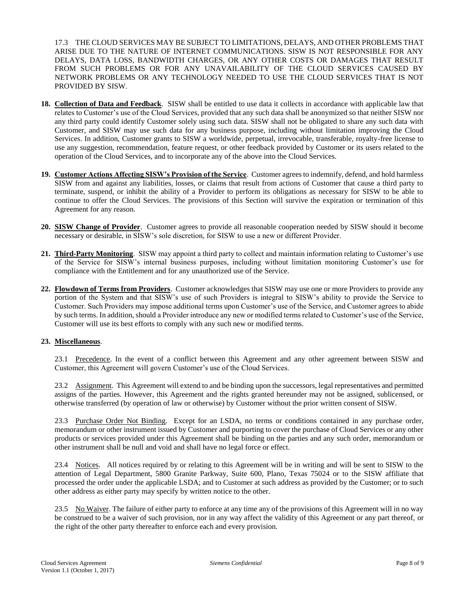17.3 THE CLOUD SERVICES MAY BE SUBJECT TO LIMITATIONS, DELAYS, AND OTHER PROBLEMS THAT ARISE DUE TO THE NATURE OF INTERNET COMMUNICATIONS. SISW IS NOT RESPONSIBLE FOR ANY DELAYS, DATA LOSS, BANDWIDTH CHARGES, OR ANY OTHER COSTS OR DAMAGES THAT RESULT FROM SUCH PROBLEMS OR FOR ANY UNAVAILABILITY OF THE CLOUD SERVICES CAUSED BY NETWORK PROBLEMS OR ANY TECHNOLOGY NEEDED TO USE THE CLOUD SERVICES THAT IS NOT PROVIDED BY SISW.

- **18. Collection of Data and Feedback**. SISW shall be entitled to use data it collects in accordance with applicable law that relates to Customer's use of the Cloud Services, provided that any such data shall be anonymized so that neither SISW nor any third party could identify Customer solely using such data. SISW shall not be obligated to share any such data with Customer, and SISW may use such data for any business purpose, including without limitation improving the Cloud Services. In addition, Customer grants to SISW a worldwide, perpetual, irrevocable, transferable, royalty-free license to use any suggestion, recommendation, feature request, or other feedback provided by Customer or its users related to the operation of the Cloud Services, and to incorporate any of the above into the Cloud Services.
- **19. Customer Actions Affecting SISW's Provision of the Service**. Customer agrees to indemnify, defend, and hold harmless SISW from and against any liabilities, losses, or claims that result from actions of Customer that cause a third party to terminate, suspend, or inhibit the ability of a Provider to perform its obligations as necessary for SISW to be able to continue to offer the Cloud Services. The provisions of this Section will survive the expiration or termination of this Agreement for any reason.
- **20. SISW Change of Provider**. Customer agrees to provide all reasonable cooperation needed by SISW should it become necessary or desirable, in SISW's sole discretion, for SISW to use a new or different Provider.
- **21. Third-Party Monitoring**. SISW may appoint a third party to collect and maintain information relating to Customer's use of the Service for SISW's internal business purposes, including without limitation monitoring Customer's use for compliance with the Entitlement and for any unauthorized use of the Service.
- **22. Flowdown of Terms from Providers**. Customer acknowledges that SISW may use one or more Providers to provide any portion of the System and that SISW's use of such Providers is integral to SISW's ability to provide the Service to Customer. Such Providers may impose additional terms upon Customer's use of the Service, and Customer agrees to abide by such terms. In addition, should a Provider introduce any new or modified terms related to Customer's use of the Service, Customer will use its best efforts to comply with any such new or modified terms.

# **23. Miscellaneous**.

23.1 Precedence. In the event of a conflict between this Agreement and any other agreement between SISW and Customer, this Agreement will govern Customer's use of the Cloud Services.

23.2 Assignment. This Agreement will extend to and be binding upon the successors, legal representatives and permitted assigns of the parties. However, this Agreement and the rights granted hereunder may not be assigned, sublicensed, or otherwise transferred (by operation of law or otherwise) by Customer without the prior written consent of SISW.

23.3 Purchase Order Not Binding. Except for an LSDA, no terms or conditions contained in any purchase order, memorandum or other instrument issued by Customer and purporting to cover the purchase of Cloud Services or any other products or services provided under this Agreement shall be binding on the parties and any such order, memorandum or other instrument shall be null and void and shall have no legal force or effect.

23.4 Notices. All notices required by or relating to this Agreement will be in writing and will be sent to SISW to the attention of Legal Department, 5800 Granite Parkway, Suite 600, Plano, Texas 75024 or to the SISW affiliate that processed the order under the applicable LSDA; and to Customer at such address as provided by the Customer; or to such other address as either party may specify by written notice to the other.

23.5 No Waiver. The failure of either party to enforce at any time any of the provisions of this Agreement will in no way be construed to be a waiver of such provision, nor in any way affect the validity of this Agreement or any part thereof, or the right of the other party thereafter to enforce each and every provision.